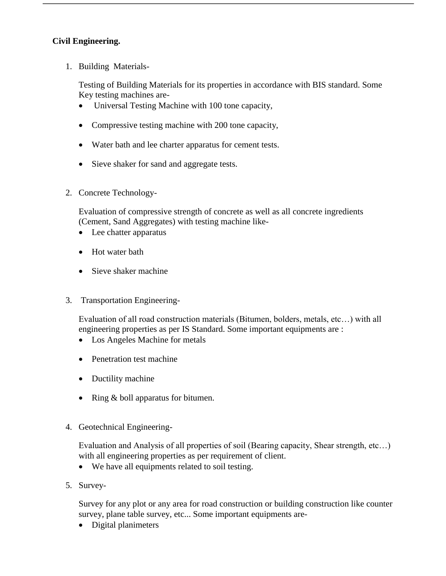## **Civil Engineering.**

1. Building Materials-

Testing of Building Materials for its properties in accordance with BIS standard. Some Key testing machines are-

- Universal Testing Machine with 100 tone capacity,
- Compressive testing machine with 200 tone capacity,
- Water bath and lee charter apparatus for cement tests.
- Sieve shaker for sand and aggregate tests.
- 2. Concrete Technology-

Evaluation of compressive strength of concrete as well as all concrete ingredients (Cement, Sand Aggregates) with testing machine like-

- Lee chatter apparatus
- Hot water bath
- Sieve shaker machine
- 3. Transportation Engineering-

Evaluation of all road construction materials (Bitumen, bolders, metals, etc…) with all engineering properties as per IS Standard. Some important equipments are :

- Los Angeles Machine for metals
- Penetration test machine
- Ductility machine
- Ring & boll apparatus for bitumen.
- 4. Geotechnical Engineering-

Evaluation and Analysis of all properties of soil (Bearing capacity, Shear strength, etc…) with all engineering properties as per requirement of client.

- We have all equipments related to soil testing.
- 5. Survey-

Survey for any plot or any area for road construction or building construction like counter survey, plane table survey, etc... Some important equipments are-

• Digital planimeters